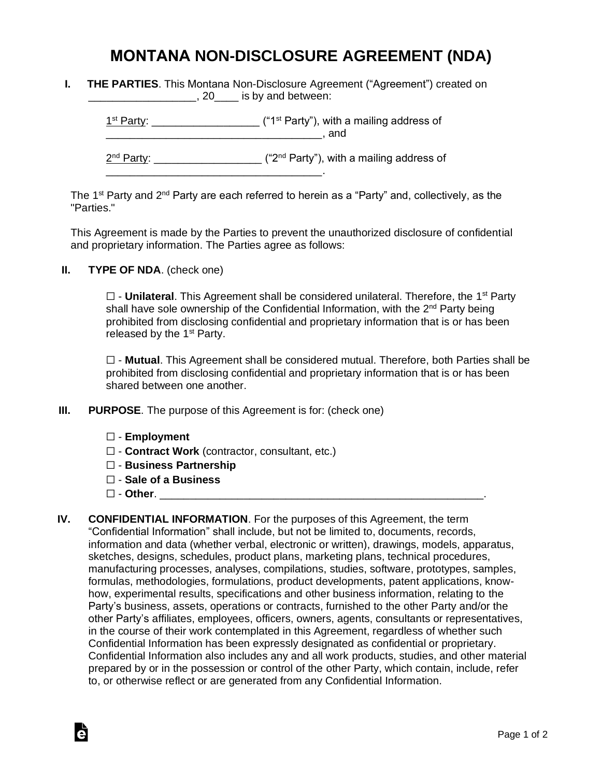## **MONTANA NON-DISCLOSURE AGREEMENT (NDA)**

|  | <b>THE PARTIES.</b> This Montana Non-Disclosure Agreement ("Agreement") created on |  |  |
|--|------------------------------------------------------------------------------------|--|--|
|  | , 20_____ is by and between:                                                       |  |  |

 $1<sup>st</sup> Party: _______$  $\blacksquare$  and  $\blacksquare$ 

2<sup>nd</sup> Party: \_\_\_\_\_\_\_\_\_\_\_\_\_\_\_\_\_\_\_\_ ("2<sup>nd</sup> Party"), with a mailing address of

The 1<sup>st</sup> Party and 2<sup>nd</sup> Party are each referred to herein as a "Party" and, collectively, as the "Parties."

This Agreement is made by the Parties to prevent the unauthorized disclosure of confidential and proprietary information. The Parties agree as follows:

**II. TYPE OF NDA**. (check one)

□ - **Unilateral**. This Agreement shall be considered unilateral. Therefore, the 1<sup>st</sup> Party shall have sole ownership of the Confidential Information, with the 2<sup>nd</sup> Party being prohibited from disclosing confidential and proprietary information that is or has been released by the  $1<sup>st</sup>$  Party.

☐ - **Mutual**. This Agreement shall be considered mutual. Therefore, both Parties shall be prohibited from disclosing confidential and proprietary information that is or has been shared between one another.

**III. PURPOSE**. The purpose of this Agreement is for: (check one)

\_\_\_\_\_\_\_\_\_\_\_\_\_\_\_\_\_\_\_\_\_\_\_\_\_\_\_\_\_\_\_\_\_\_\_\_.

- ☐ **Employment**
- ☐ **Contract Work** (contractor, consultant, etc.)
- ☐ **Business Partnership**
- ☐ **Sale of a Business**
- ☐ **Other**. \_\_\_\_\_\_\_\_\_\_\_\_\_\_\_\_\_\_\_\_\_\_\_\_\_\_\_\_\_\_\_\_\_\_\_\_\_\_\_\_\_\_\_\_\_\_\_\_\_\_\_\_\_\_.

Ġ

**IV. CONFIDENTIAL INFORMATION**. For the purposes of this Agreement, the term "Confidential Information" shall include, but not be limited to, documents, records, information and data (whether verbal, electronic or written), drawings, models, apparatus, sketches, designs, schedules, product plans, marketing plans, technical procedures, manufacturing processes, analyses, compilations, studies, software, prototypes, samples, formulas, methodologies, formulations, product developments, patent applications, knowhow, experimental results, specifications and other business information, relating to the Party's business, assets, operations or contracts, furnished to the other Party and/or the other Party's affiliates, employees, officers, owners, agents, consultants or representatives, in the course of their work contemplated in this Agreement, regardless of whether such Confidential Information has been expressly designated as confidential or proprietary. Confidential Information also includes any and all work products, studies, and other material prepared by or in the possession or control of the other Party, which contain, include, refer to, or otherwise reflect or are generated from any Confidential Information.